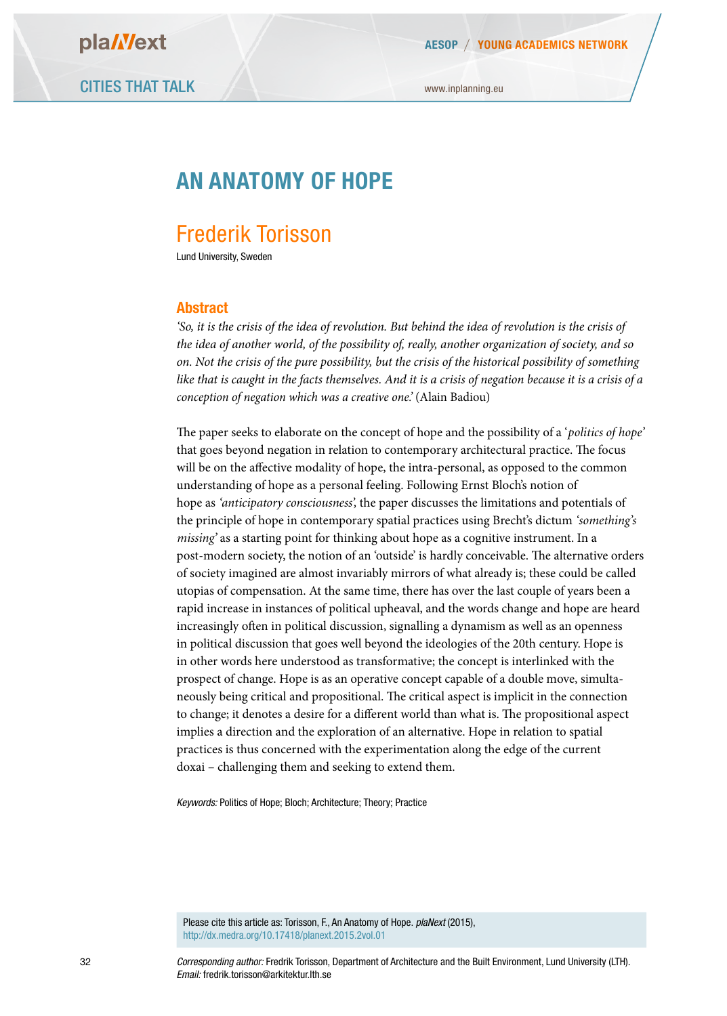**AESOP YOUNG ACADEMICS NETWORK**

www.inplanning.eu

# **AN ANATOMY OF HOPE**

# Frederik Torisson

Lund University, Sweden

#### **Abstract**

*'So, it is the crisis of the idea of revolution. But behind the idea of revolution is the crisis of the idea of another world, of the possibility of, really, another organization of society, and so on. Not the crisis of the pure possibility, but the crisis of the historical possibility of something like that is caught in the facts themselves. And it is a crisis of negation because it is a crisis of a conception of negation which was a creative one.'* (Alain Badiou)

The paper seeks to elaborate on the concept of hope and the possibility of a *'politics of hope'* that goes beyond negation in relation to contemporary architectural practice. The focus will be on the afective modality of hope, the intra-personal, as opposed to the common understanding of hope as a personal feeling. Following Ernst Bloch's notion of hope as *'anticipatory consciousness',* the paper discusses the limitations and potentials of the principle of hope in contemporary spatial practices using Brecht's dictum *'something's missing'* as a starting point for thinking about hope as a cognitive instrument. In a post-modern society, the notion of an 'outside' is hardly conceivable. The alternative orders of society imagined are almost invariably mirrors of what already is; these could be called utopias of compensation. At the same time, there has over the last couple of years been a rapid increase in instances of political upheaval, and the words change and hope are heard increasingly ofen in political discussion, signalling a dynamism as well as an openness in political discussion that goes well beyond the ideologies of the 20th century. Hope is in other words here understood as transformative; the concept is interlinked with the prospect of change. Hope is as an operative concept capable of a double move, simultaneously being critical and propositional. The critical aspect is implicit in the connection to change; it denotes a desire for a different world than what is. The propositional aspect implies a direction and the exploration of an alternative. Hope in relation to spatial practices is thus concerned with the experimentation along the edge of the current doxai – challenging them and seeking to extend them.

*Keywords:* Politics of Hope; Bloch; Architecture; Theory; Practice

Please cite this article as: Torisson, F., An Anatomy of Hope. *plaNext* (2015), http://dx.medra.org/10.17418/planext.2015.2vol.01

*Corresponding author:* Fredrik Torisson, Department of Architecture and the Built Environment, Lund University (LTH). *Email:* fredrik.torisson@arkitektur.lth.se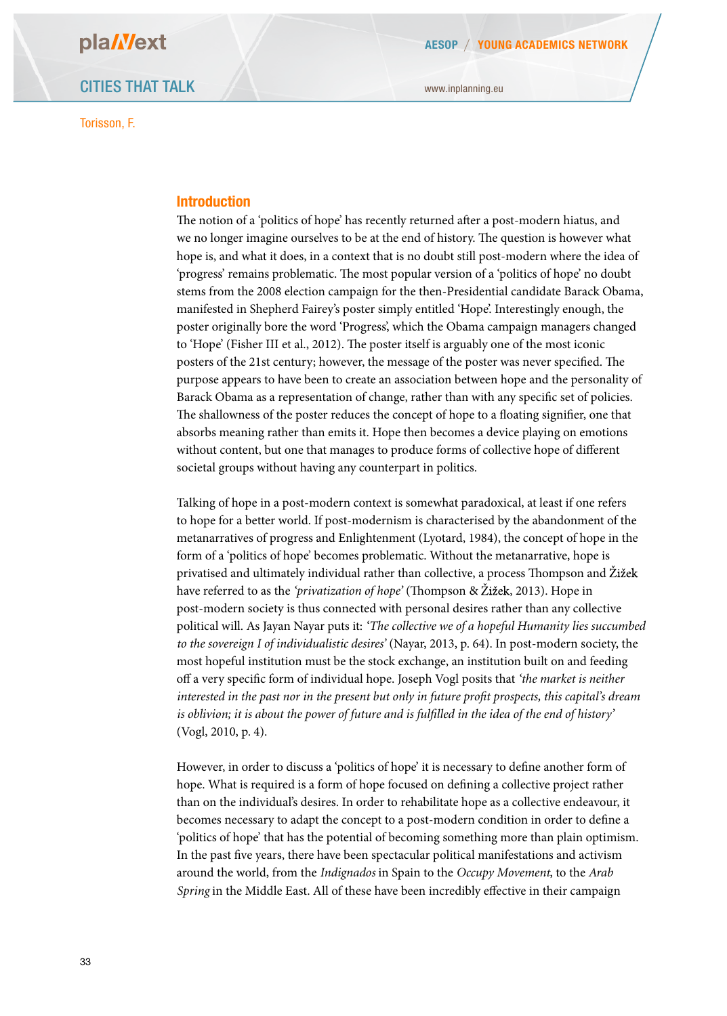Torisson, F.

www.inplanning.eu

### **Introduction**

The notion of a 'politics of hope' has recently returned after a post-modern hiatus, and we no longer imagine ourselves to be at the end of history. The question is however what hope is, and what it does, in a context that is no doubt still post-modern where the idea of 'progress' remains problematic. The most popular version of a 'politics of hope' no doubt stems from the 2008 election campaign for the then-Presidential candidate Barack Obama, manifested in Shepherd Fairey's poster simply entitled 'Hope'. Interestingly enough, the poster originally bore the word 'Progress', which the Obama campaign managers changed to 'Hope' (Fisher III et al., 2012). The poster itself is arguably one of the most iconic posters of the 21st century; however, the message of the poster was never specified. The purpose appears to have been to create an association between hope and the personality of Barack Obama as a representation of change, rather than with any specifc set of policies. The shallowness of the poster reduces the concept of hope to a floating signifier, one that absorbs meaning rather than emits it. Hope then becomes a device playing on emotions without content, but one that manages to produce forms of collective hope of diferent societal groups without having any counterpart in politics.

Talking of hope in a post-modern context is somewhat paradoxical, at least if one refers to hope for a better world. If post-modernism is characterised by the abandonment of the metanarratives of progress and Enlightenment (Lyotard, 1984), the concept of hope in the form of a 'politics of hope' becomes problematic. Without the metanarrative, hope is privatised and ultimately individual rather than collective, a process Thompson and Žižek have referred to as the *'privatization of hope'* (Thompson & Žižek, 2013). Hope in post-modern society is thus connected with personal desires rather than any collective political will. As Jayan Nayar puts it: *'The collective we of a hopeful Humanity lies succumbed to the sovereign I of individualistic desires'* (Nayar, 2013, p. 64). In post-modern society, the most hopeful institution must be the stock exchange, an institution built on and feeding of a very specifc form of individual hope. Joseph Vogl posits that *'the market is neither interested in the past nor in the present but only in future profit prospects, this capital's dream is oblivion; it is about the power of future and is fulfilled in the idea of the end of history'* (Vogl, 2010, p. 4).

However, in order to discuss a 'politics of hope' it is necessary to defne another form of hope. What is required is a form of hope focused on defning a collective project rather than on the individual's desires. In order to rehabilitate hope as a collective endeavour, it becomes necessary to adapt the concept to a post-modern condition in order to defne a 'politics of hope' that has the potential of becoming something more than plain optimism. In the past fve years, there have been spectacular political manifestations and activism around the world, from the *Indignados* in Spain to the *Occupy Movement*, to the *Arab Spring* in the Middle East. All of these have been incredibly efective in their campaign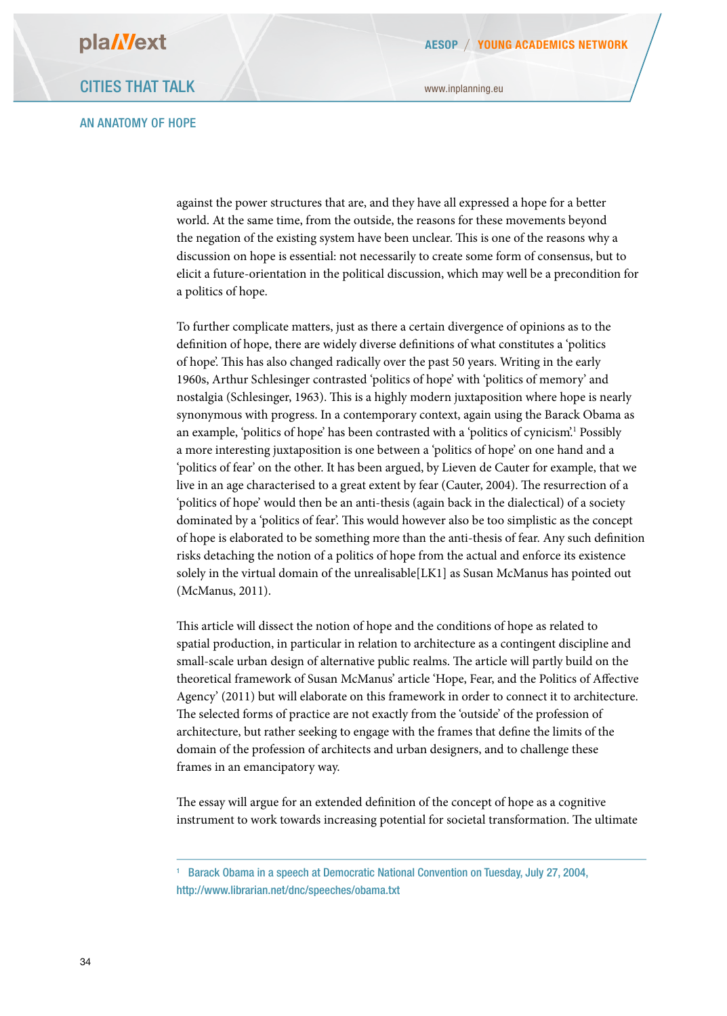#### AN ANATOMY OF HOPE

against the power structures that are, and they have all expressed a hope for a better world. At the same time, from the outside, the reasons for these movements beyond the negation of the existing system have been unclear. This is one of the reasons why a discussion on hope is essential: not necessarily to create some form of consensus, but to elicit a future-orientation in the political discussion, which may well be a precondition for a politics of hope.

To further complicate matters, just as there a certain divergence of opinions as to the defnition of hope, there are widely diverse defnitions of what constitutes a 'politics of hope'. This has also changed radically over the past 50 years. Writing in the early 1960s, Arthur Schlesinger contrasted 'politics of hope' with 'politics of memory' and nostalgia (Schlesinger, 1963). This is a highly modern juxtaposition where hope is nearly synonymous with progress. In a contemporary context, again using the Barack Obama as an example, 'politics of hope' has been contrasted with a 'politics of cynicism'.1 Possibly a more interesting juxtaposition is one between a 'politics of hope' on one hand and a 'politics of fear' on the other. It has been argued, by Lieven de Cauter for example, that we live in an age characterised to a great extent by fear (Cauter, 2004). The resurrection of a 'politics of hope' would then be an anti-thesis (again back in the dialectical) of a society dominated by a 'politics of fear'. This would however also be too simplistic as the concept of hope is elaborated to be something more than the anti-thesis of fear. Any such defnition risks detaching the notion of a politics of hope from the actual and enforce its existence solely in the virtual domain of the unrealisable[LK1] as Susan McManus has pointed out (McManus, 2011).

This article will dissect the notion of hope and the conditions of hope as related to spatial production, in particular in relation to architecture as a contingent discipline and small-scale urban design of alternative public realms. The article will partly build on the theoretical framework of Susan McManus' article 'Hope, Fear, and the Politics of Afective Agency' (2011) but will elaborate on this framework in order to connect it to architecture. The selected forms of practice are not exactly from the 'outside' of the profession of architecture, but rather seeking to engage with the frames that defne the limits of the domain of the profession of architects and urban designers, and to challenge these frames in an emancipatory way.

The essay will argue for an extended definition of the concept of hope as a cognitive instrument to work towards increasing potential for societal transformation. The ultimate

<sup>&</sup>lt;sup>1</sup> Barack Obama in a speech at Democratic National Convention on Tuesday, July 27, 2004, http://www.librarian.net/dnc/speeches/obama.txt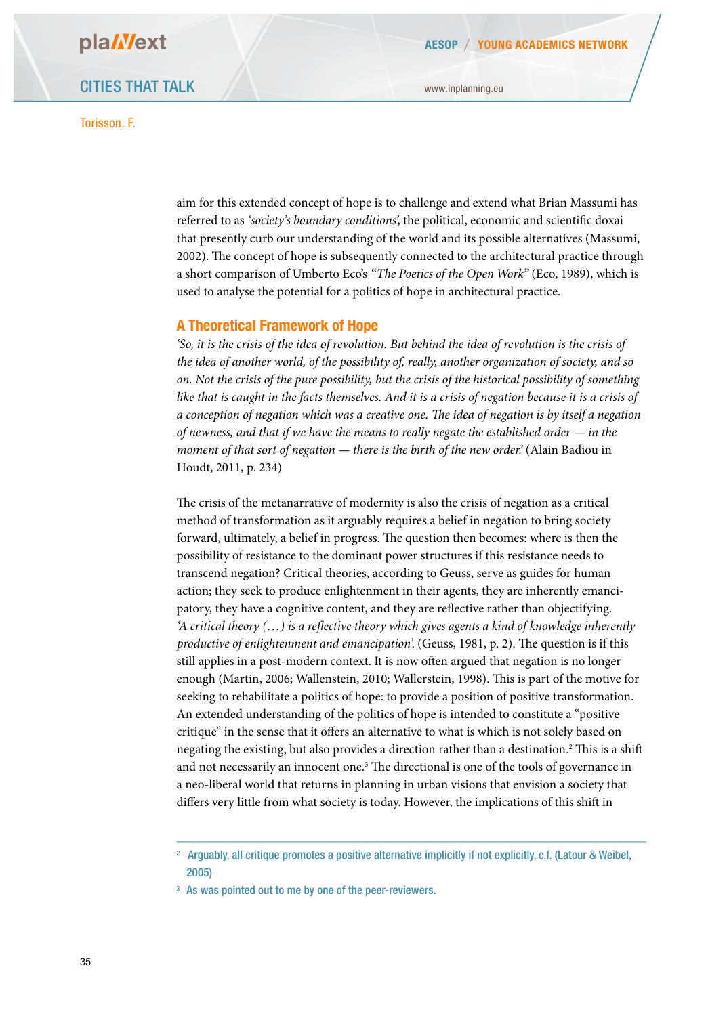Torisson, F.

aim for this extended concept of hope is to challenge and extend what Brian Massumi has referred to as *'society's boundary conditions',* the political, economic and scientifc doxai that presently curb our understanding of the world and its possible alternatives (Massumi, 2002). The concept of hope is subsequently connected to the architectural practice through a short comparison of Umberto Eco's *"The Poetics of the Open Work"* (Eco, 1989), which is used to analyse the potential for a politics of hope in architectural practice.

#### **A Theoretical Framework of Hope**

*'So, it is the crisis of the idea of revolution. But behind the idea of revolution is the crisis of the idea of another world, of the possibility of, really, another organization of society, and so on. Not the crisis of the pure possibility, but the crisis of the historical possibility of something*  like that is caught in the facts themselves. And it is a crisis of negation because it is a crisis of *a conception of negation which was a creative one.* T*e idea of negation is by itself a negation of newness, and that if we have the means to really negate the established order — in the moment of that sort of negation — there is the birth of the new order.* (Alain Badiou in Houdt, 2011, p. 234)

The crisis of the metanarrative of modernity is also the crisis of negation as a critical method of transformation as it arguably requires a belief in negation to bring society forward, ultimately, a belief in progress. The question then becomes: where is then the possibility of resistance to the dominant power structures if this resistance needs to transcend negation? Critical theories, according to Geuss, serve as guides for human action; they seek to produce enlightenment in their agents, they are inherently emancipatory, they have a cognitive content, and they are refective rather than objectifying. *'A critical theory (…) is a reflective theory which gives agents a kind of knowledge inherently productive of enlightenment and emancipation'.* (Geuss, 1981, p. 2). The question is if this still applies in a post-modern context. It is now often argued that negation is no longer enough (Martin, 2006; Wallenstein, 2010; Wallerstein, 1998). This is part of the motive for seeking to rehabilitate a politics of hope: to provide a position of positive transformation. An extended understanding of the politics of hope is intended to constitute a "positive critique" in the sense that it ofers an alternative to what is which is not solely based on negating the existing, but also provides a direction rather than a destination.<sup>2</sup> This is a shift and not necessarily an innocent one.<sup>3</sup> The directional is one of the tools of governance in a neo-liberal world that returns in planning in urban visions that envision a society that difers very little from what society is today. However, the implications of this shif in

<sup>&</sup>lt;sup>2</sup> Arguably, all critique promotes a positive alternative implicitly if not explicitly, c.f. (Latour & Weibel, 2005)

<sup>&</sup>lt;sup>3</sup> As was pointed out to me by one of the peer-reviewers.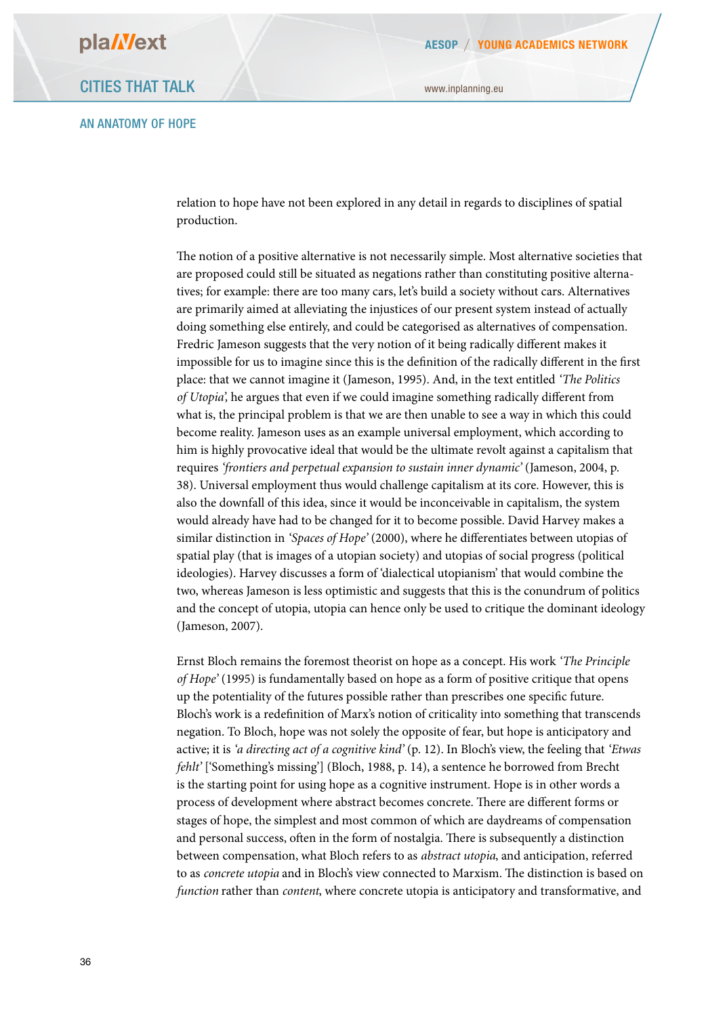#### AN ANATOMY OF HOPE

relation to hope have not been explored in any detail in regards to disciplines of spatial production.

The notion of a positive alternative is not necessarily simple. Most alternative societies that are proposed could still be situated as negations rather than constituting positive alternatives; for example: there are too many cars, let's build a society without cars. Alternatives are primarily aimed at alleviating the injustices of our present system instead of actually doing something else entirely, and could be categorised as alternatives of compensation. Fredric Jameson suggests that the very notion of it being radically diferent makes it impossible for us to imagine since this is the defnition of the radically diferent in the frst place: that we cannot imagine it (Jameson, 1995). And, in the text entitled *'The Politics of Utopia',* he argues that even if we could imagine something radically diferent from what is, the principal problem is that we are then unable to see a way in which this could become reality. Jameson uses as an example universal employment, which according to him is highly provocative ideal that would be the ultimate revolt against a capitalism that requires *'frontiers and perpetual expansion to sustain inner dynamic'* (Jameson, 2004, p. 38). Universal employment thus would challenge capitalism at its core. However, this is also the downfall of this idea, since it would be inconceivable in capitalism, the system would already have had to be changed for it to become possible. David Harvey makes a similar distinction in *'Spaces of Hope'* (2000), where he diferentiates between utopias of spatial play (that is images of a utopian society) and utopias of social progress (political ideologies). Harvey discusses a form of 'dialectical utopianism' that would combine the two, whereas Jameson is less optimistic and suggests that this is the conundrum of politics and the concept of utopia, utopia can hence only be used to critique the dominant ideology (Jameson, 2007).

Ernst Bloch remains the foremost theorist on hope as a concept. His work *'The Principle of Hope'* (1995) is fundamentally based on hope as a form of positive critique that opens up the potentiality of the futures possible rather than prescribes one specifc future. Bloch's work is a redefnition of Marx's notion of criticality into something that transcends negation. To Bloch, hope was not solely the opposite of fear, but hope is anticipatory and active; it is *'a directing act of a cognitive kind'* (p. 12). In Bloch's view, the feeling that *'Etwas fehlt'* ['Something's missing'] (Bloch, 1988, p. 14), a sentence he borrowed from Brecht is the starting point for using hope as a cognitive instrument. Hope is in other words a process of development where abstract becomes concrete. There are different forms or stages of hope, the simplest and most common of which are daydreams of compensation and personal success, often in the form of nostalgia. There is subsequently a distinction between compensation, what Bloch refers to as *abstract utopia*, and anticipation, referred to as *concrete utopia* and in Bloch's view connected to Marxism. The distinction is based on *function* rather than *content*, where concrete utopia is anticipatory and transformative, and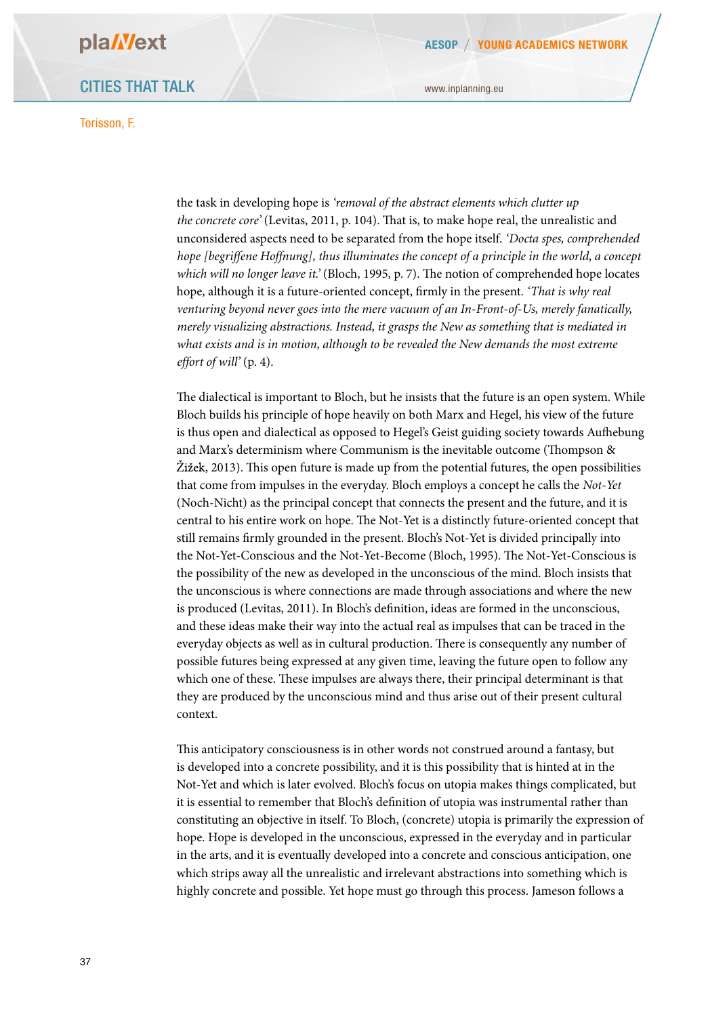### CITIES THAT TALK

#### Torisson, F.

www.inplanning.eu

the task in developing hope is *'removal of the abstract elements which clutter up the concrete core'* (Levitas, 2011, p. 104). That is, to make hope real, the unrealistic and unconsidered aspects need to be separated from the hope itself. *'Docta spes, comprehended hope [begriffene Hoffnung], thus illuminates the concept of a principle in the world, a concept which will no longer leave it.*' (Bloch, 1995, p. 7). The notion of comprehended hope locates hope, although it is a future-oriented concept, frmly in the present. *'That is why real venturing beyond never goes into the mere vacuum of an In-Front-of-Us, merely fanatically, merely visualizing abstractions. Instead, it grasps the New as something that is mediated in what exists and is in motion, although to be revealed the New demands the most extreme effort of will'* (p. 4).

The dialectical is important to Bloch, but he insists that the future is an open system. While Bloch builds his principle of hope heavily on both Marx and Hegel, his view of the future is thus open and dialectical as opposed to Hegel's Geist guiding society towards Aufebung and Marx's determinism where Communism is the inevitable outcome (Thompson &  $\check{Z}$ ižek, 2013). This open future is made up from the potential futures, the open possibilities that come from impulses in the everyday. Bloch employs a concept he calls the *Not-Yet* (Noch-Nicht) as the principal concept that connects the present and the future, and it is central to his entire work on hope. The Not-Yet is a distinctly future-oriented concept that still remains frmly grounded in the present. Bloch's Not-Yet is divided principally into the Not-Yet-Conscious and the Not-Yet-Become (Bloch, 1995). The Not-Yet-Conscious is the possibility of the new as developed in the unconscious of the mind. Bloch insists that the unconscious is where connections are made through associations and where the new is produced (Levitas, 2011). In Bloch's defnition, ideas are formed in the unconscious, and these ideas make their way into the actual real as impulses that can be traced in the everyday objects as well as in cultural production. There is consequently any number of possible futures being expressed at any given time, leaving the future open to follow any which one of these. These impulses are always there, their principal determinant is that they are produced by the unconscious mind and thus arise out of their present cultural context.

This anticipatory consciousness is in other words not construed around a fantasy, but is developed into a concrete possibility, and it is this possibility that is hinted at in the Not-Yet and which is later evolved. Bloch's focus on utopia makes things complicated, but it is essential to remember that Bloch's defnition of utopia was instrumental rather than constituting an objective in itself. To Bloch, (concrete) utopia is primarily the expression of hope. Hope is developed in the unconscious, expressed in the everyday and in particular in the arts, and it is eventually developed into a concrete and conscious anticipation, one which strips away all the unrealistic and irrelevant abstractions into something which is highly concrete and possible. Yet hope must go through this process. Jameson follows a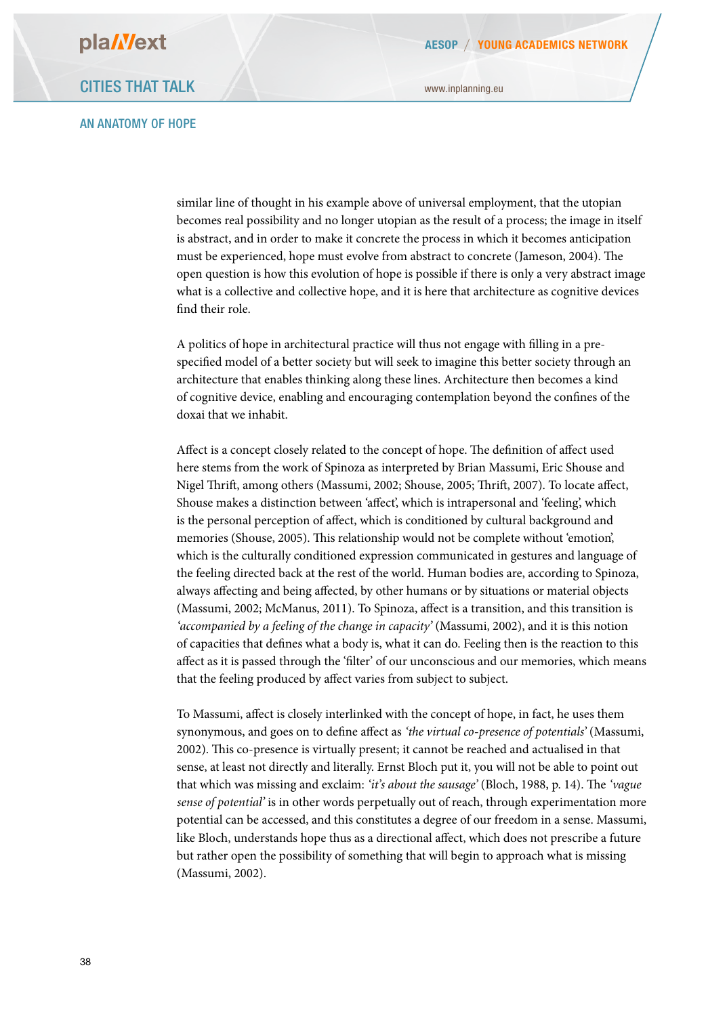#### AN ANATOMY OF HOPE

similar line of thought in his example above of universal employment, that the utopian becomes real possibility and no longer utopian as the result of a process; the image in itself is abstract, and in order to make it concrete the process in which it becomes anticipation must be experienced, hope must evolve from abstract to concrete (Jameson, 2004). The open question is how this evolution of hope is possible if there is only a very abstract image what is a collective and collective hope, and it is here that architecture as cognitive devices fnd their role.

A politics of hope in architectural practice will thus not engage with flling in a prespecifed model of a better society but will seek to imagine this better society through an architecture that enables thinking along these lines. Architecture then becomes a kind of cognitive device, enabling and encouraging contemplation beyond the confnes of the doxai that we inhabit.

Affect is a concept closely related to the concept of hope. The definition of affect used here stems from the work of Spinoza as interpreted by Brian Massumi, Eric Shouse and Nigel Thrift, among others (Massumi, 2002; Shouse, 2005; Thrift, 2007). To locate affect, Shouse makes a distinction between 'afect', which is intrapersonal and 'feeling', which is the personal perception of afect, which is conditioned by cultural background and memories (Shouse, 2005). Tis relationship would not be complete without 'emotion', which is the culturally conditioned expression communicated in gestures and language of the feeling directed back at the rest of the world. Human bodies are, according to Spinoza, always afecting and being afected, by other humans or by situations or material objects (Massumi, 2002; McManus, 2011). To Spinoza, afect is a transition, and this transition is *'accompanied by a feeling of the change in capacity'* (Massumi, 2002), and it is this notion of capacities that defnes what a body is, what it can do. Feeling then is the reaction to this afect as it is passed through the 'flter' of our unconscious and our memories, which means that the feeling produced by afect varies from subject to subject.

To Massumi, afect is closely interlinked with the concept of hope, in fact, he uses them synonymous, and goes on to defne afect as *'the virtual co-presence of potentials'* (Massumi, 2002). Tis co-presence is virtually present; it cannot be reached and actualised in that sense, at least not directly and literally. Ernst Bloch put it, you will not be able to point out that which was missing and exclaim: '*it's about the sausage*' (Bloch, 1988, p. 14). The 'vague *sense of potential'* is in other words perpetually out of reach, through experimentation more potential can be accessed, and this constitutes a degree of our freedom in a sense. Massumi, like Bloch, understands hope thus as a directional afect, which does not prescribe a future but rather open the possibility of something that will begin to approach what is missing (Massumi, 2002).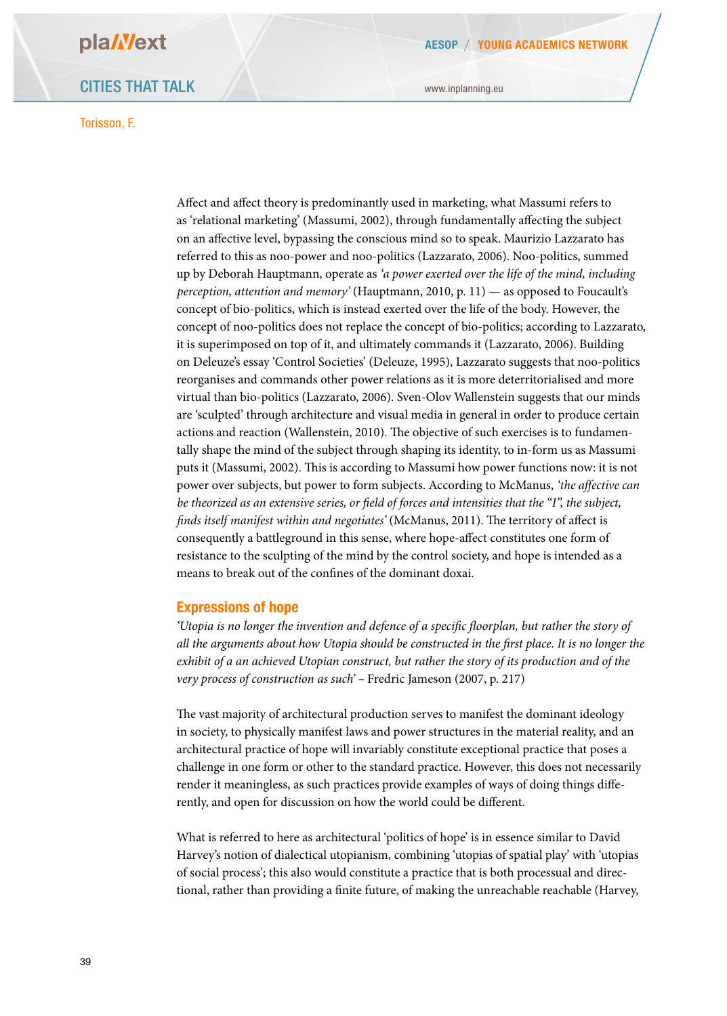www.inplanning.eu

Afect and afect theory is predominantly used in marketing, what Massumi refers to as 'relational marketing' (Massumi, 2002), through fundamentally afecting the subject on an afective level, bypassing the conscious mind so to speak. Maurizio Lazzarato has referred to this as noo-power and noo-politics (Lazzarato, 2006). Noo-politics, summed up by Deborah Hauptmann, operate as *'a power exerted over the life of the mind, including perception, attention and memory'* (Hauptmann, 2010, p. 11) — as opposed to Foucault's concept of bio-politics, which is instead exerted over the life of the body. However, the concept of noo-politics does not replace the concept of bio-politics; according to Lazzarato, it is superimposed on top of it, and ultimately commands it (Lazzarato, 2006). Building on Deleuze's essay 'Control Societies' (Deleuze, 1995), Lazzarato suggests that noo-politics reorganises and commands other power relations as it is more deterritorialised and more virtual than bio-politics (Lazzarato, 2006). Sven-Olov Wallenstein suggests that our minds are 'sculpted' through architecture and visual media in general in order to produce certain actions and reaction (Wallenstein, 2010). The objective of such exercises is to fundamentally shape the mind of the subject through shaping its identity, to in-form us as Massumi puts it (Massumi, 2002). Tis is according to Massumi how power functions now: it is not power over subjects, but power to form subjects. According to McManus, *'the affective can be theorized as an extensive series, or field of forces and intensities that the "I", the subject,*  finds itself manifest within and negotiates' (McManus, 2011). The territory of affect is consequently a battleground in this sense, where hope-afect constitutes one form of resistance to the sculpting of the mind by the control society, and hope is intended as a means to break out of the confnes of the dominant doxai.

#### **Expressions of hope**

*'Utopia is no longer the invention and defence of a speci*f*c* f*oorplan, but rather the story of all the arguments about how Utopia should be constructed in the* f*rst place. It is no longer the exhibit of a an achieved Utopian construct, but rather the story of its production and of the very process of construction as such' –* Fredric Jameson (2007, p. 217)

The vast majority of architectural production serves to manifest the dominant ideology in society, to physically manifest laws and power structures in the material reality, and an architectural practice of hope will invariably constitute exceptional practice that poses a challenge in one form or other to the standard practice. However, this does not necessarily render it meaningless, as such practices provide examples of ways of doing things diferently, and open for discussion on how the world could be diferent.

What is referred to here as architectural 'politics of hope' is in essence similar to David Harvey's notion of dialectical utopianism, combining 'utopias of spatial play' with 'utopias of social process'; this also would constitute a practice that is both processual and directional, rather than providing a fnite future, of making the unreachable reachable (Harvey,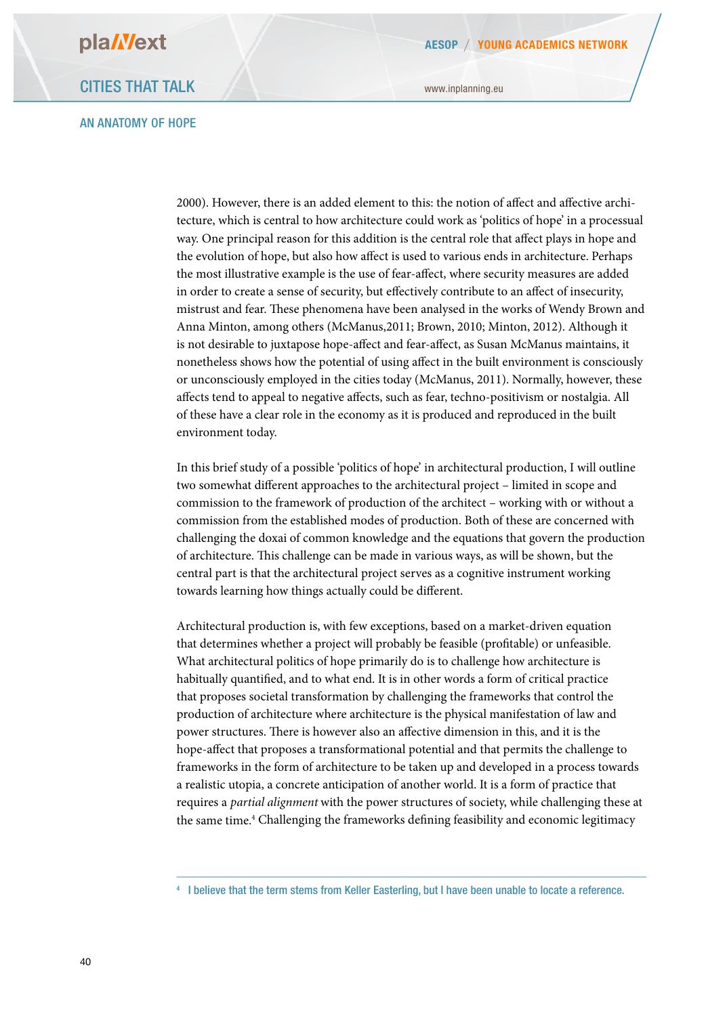#### AN ANATOMY OF HOPE

www.inplanning.eu

2000). However, there is an added element to this: the notion of afect and afective architecture, which is central to how architecture could work as 'politics of hope' in a processual way. One principal reason for this addition is the central role that afect plays in hope and the evolution of hope, but also how afect is used to various ends in architecture. Perhaps the most illustrative example is the use of fear-afect, where security measures are added in order to create a sense of security, but efectively contribute to an afect of insecurity, mistrust and fear. These phenomena have been analysed in the works of Wendy Brown and Anna Minton, among others (McManus,2011; Brown, 2010; Minton, 2012). Although it is not desirable to juxtapose hope-afect and fear-afect, as Susan McManus maintains, it nonetheless shows how the potential of using afect in the built environment is consciously or unconsciously employed in the cities today (McManus, 2011). Normally, however, these afects tend to appeal to negative afects, such as fear, techno-positivism or nostalgia. All of these have a clear role in the economy as it is produced and reproduced in the built environment today.

In this brief study of a possible 'politics of hope' in architectural production, I will outline two somewhat diferent approaches to the architectural project – limited in scope and commission to the framework of production of the architect – working with or without a commission from the established modes of production. Both of these are concerned with challenging the doxai of common knowledge and the equations that govern the production of architecture. This challenge can be made in various ways, as will be shown, but the central part is that the architectural project serves as a cognitive instrument working towards learning how things actually could be diferent.

Architectural production is, with few exceptions, based on a market-driven equation that determines whether a project will probably be feasible (proftable) or unfeasible. What architectural politics of hope primarily do is to challenge how architecture is habitually quantifed, and to what end. It is in other words a form of critical practice that proposes societal transformation by challenging the frameworks that control the production of architecture where architecture is the physical manifestation of law and power structures. There is however also an affective dimension in this, and it is the hope-afect that proposes a transformational potential and that permits the challenge to frameworks in the form of architecture to be taken up and developed in a process towards a realistic utopia, a concrete anticipation of another world. It is a form of practice that requires a *partial alignment* with the power structures of society, while challenging these at the same time.<sup>4</sup> Challenging the frameworks defining feasibility and economic legitimacy

<sup>4</sup> I believe that the term stems from Keller Easterling, but I have been unable to locate a reference.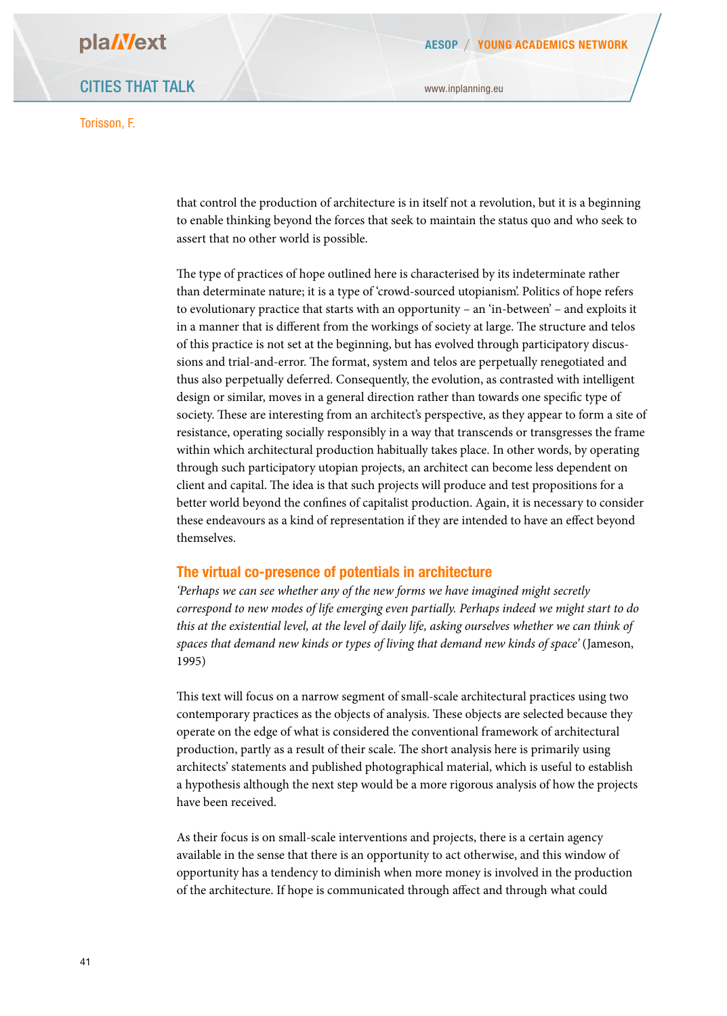CITIES THAT TALK

Torisson, F.

that control the production of architecture is in itself not a revolution, but it is a beginning to enable thinking beyond the forces that seek to maintain the status quo and who seek to assert that no other world is possible.

The type of practices of hope outlined here is characterised by its indeterminate rather than determinate nature; it is a type of 'crowd-sourced utopianism'. Politics of hope refers to evolutionary practice that starts with an opportunity – an 'in-between' – and exploits it in a manner that is different from the workings of society at large. The structure and telos of this practice is not set at the beginning, but has evolved through participatory discussions and trial-and-error. The format, system and telos are perpetually renegotiated and thus also perpetually deferred. Consequently, the evolution, as contrasted with intelligent design or similar, moves in a general direction rather than towards one specifc type of society. These are interesting from an architect's perspective, as they appear to form a site of resistance, operating socially responsibly in a way that transcends or transgresses the frame within which architectural production habitually takes place. In other words, by operating through such participatory utopian projects, an architect can become less dependent on client and capital. The idea is that such projects will produce and test propositions for a better world beyond the confnes of capitalist production. Again, it is necessary to consider these endeavours as a kind of representation if they are intended to have an efect beyond themselves.

#### **The virtual co-presence of potentials in architecture**

*'Perhaps we can see whether any of the new forms we have imagined might secretly correspond to new modes of life emerging even partially. Perhaps indeed we might start to do this at the existential level, at the level of daily life, asking ourselves whether we can think of spaces that demand new kinds or types of living that demand new kinds of space'* (Jameson, 1995)

This text will focus on a narrow segment of small-scale architectural practices using two contemporary practices as the objects of analysis. These objects are selected because they operate on the edge of what is considered the conventional framework of architectural production, partly as a result of their scale. The short analysis here is primarily using architects' statements and published photographical material, which is useful to establish a hypothesis although the next step would be a more rigorous analysis of how the projects have been received.

As their focus is on small-scale interventions and projects, there is a certain agency available in the sense that there is an opportunity to act otherwise, and this window of opportunity has a tendency to diminish when more money is involved in the production of the architecture. If hope is communicated through afect and through what could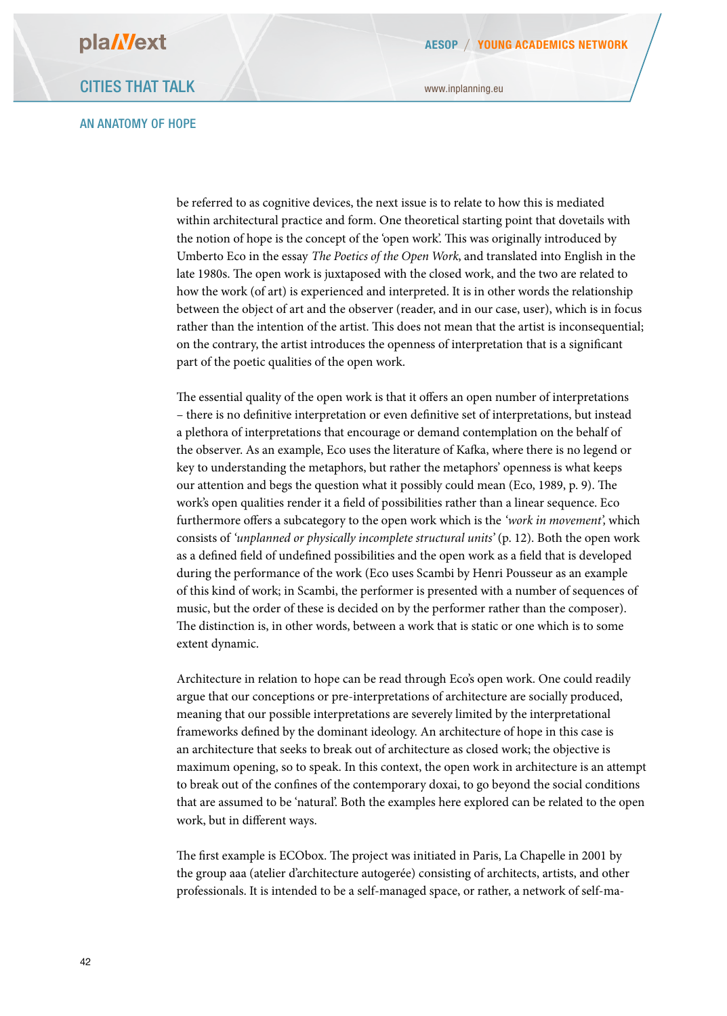#### AN ANATOMY OF HOPE

www.inplanning.eu

be referred to as cognitive devices, the next issue is to relate to how this is mediated within architectural practice and form. One theoretical starting point that dovetails with the notion of hope is the concept of the 'open work'. Tis was originally introduced by Umberto Eco in the essay *The Poetics of the Open Work*, and translated into English in the late 1980s. The open work is juxtaposed with the closed work, and the two are related to how the work (of art) is experienced and interpreted. It is in other words the relationship between the object of art and the observer (reader, and in our case, user), which is in focus rather than the intention of the artist. This does not mean that the artist is inconsequential; on the contrary, the artist introduces the openness of interpretation that is a signifcant part of the poetic qualities of the open work.

The essential quality of the open work is that it offers an open number of interpretations – there is no defnitive interpretation or even defnitive set of interpretations, but instead a plethora of interpretations that encourage or demand contemplation on the behalf of the observer. As an example, Eco uses the literature of Kafka, where there is no legend or key to understanding the metaphors, but rather the metaphors' openness is what keeps our attention and begs the question what it possibly could mean (Eco, 1989, p. 9). The work's open qualities render it a feld of possibilities rather than a linear sequence. Eco furthermore ofers a subcategory to the open work which is the *'work in movement',* which consists of *'unplanned or physically incomplete structural units'* (p. 12). Both the open work as a defned feld of undefned possibilities and the open work as a feld that is developed during the performance of the work (Eco uses Scambi by Henri Pousseur as an example of this kind of work; in Scambi, the performer is presented with a number of sequences of music, but the order of these is decided on by the performer rather than the composer). The distinction is, in other words, between a work that is static or one which is to some extent dynamic.

Architecture in relation to hope can be read through Eco's open work. One could readily argue that our conceptions or pre-interpretations of architecture are socially produced, meaning that our possible interpretations are severely limited by the interpretational frameworks defned by the dominant ideology. An architecture of hope in this case is an architecture that seeks to break out of architecture as closed work; the objective is maximum opening, so to speak. In this context, the open work in architecture is an attempt to break out of the confnes of the contemporary doxai, to go beyond the social conditions that are assumed to be 'natural'. Both the examples here explored can be related to the open work, but in diferent ways.

The first example is ECObox. The project was initiated in Paris, La Chapelle in 2001 by the group aaa (atelier d'architecture autogerée) consisting of architects, artists, and other professionals. It is intended to be a self-managed space, or rather, a network of self-ma-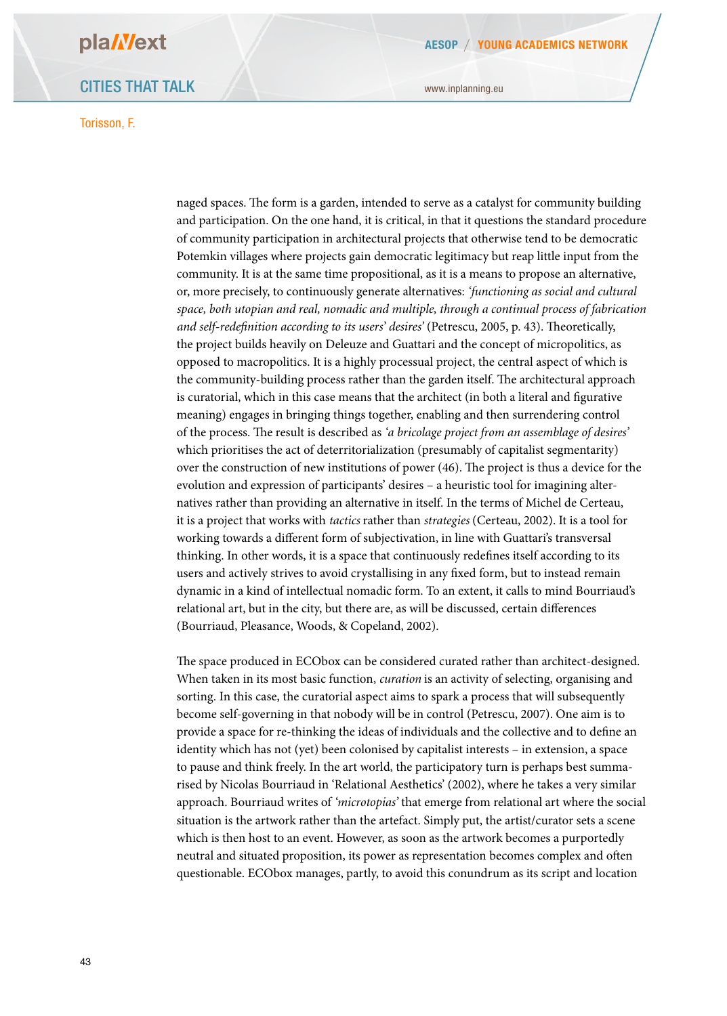### CITIES THAT TALK

#### Torisson, F.

www.inplanning.eu

naged spaces. The form is a garden, intended to serve as a catalyst for community building and participation. On the one hand, it is critical, in that it questions the standard procedure of community participation in architectural projects that otherwise tend to be democratic Potemkin villages where projects gain democratic legitimacy but reap little input from the community. It is at the same time propositional, as it is a means to propose an alternative, or, more precisely, to continuously generate alternatives: *'functioning as social and cultural space, both utopian and real, nomadic and multiple, through a continual process of fabrication*  and self-redefinition according to its users' desires' (Petrescu, 2005, p. 43). Theoretically, the project builds heavily on Deleuze and Guattari and the concept of micropolitics, as opposed to macropolitics. It is a highly processual project, the central aspect of which is the community-building process rather than the garden itself. The architectural approach is curatorial, which in this case means that the architect (in both a literal and fgurative meaning) engages in bringing things together, enabling and then surrendering control of the process. The result is described as *'a bricolage project from an assemblage of desires'* which prioritises the act of deterritorialization (presumably of capitalist segmentarity) over the construction of new institutions of power (46). The project is thus a device for the evolution and expression of participants' desires – a heuristic tool for imagining alternatives rather than providing an alternative in itself. In the terms of Michel de Certeau, it is a project that works with *tactics* rather than *strategies* (Certeau, 2002). It is a tool for working towards a diferent form of subjectivation, in line with Guattari's transversal thinking. In other words, it is a space that continuously redefnes itself according to its users and actively strives to avoid crystallising in any fxed form, but to instead remain dynamic in a kind of intellectual nomadic form. To an extent, it calls to mind Bourriaud's relational art, but in the city, but there are, as will be discussed, certain diferences (Bourriaud, Pleasance, Woods, & Copeland, 2002).

The space produced in ECObox can be considered curated rather than architect-designed. When taken in its most basic function, *curation* is an activity of selecting, organising and sorting. In this case, the curatorial aspect aims to spark a process that will subsequently become self-governing in that nobody will be in control (Petrescu, 2007). One aim is to provide a space for re-thinking the ideas of individuals and the collective and to defne an identity which has not (yet) been colonised by capitalist interests – in extension, a space to pause and think freely. In the art world, the participatory turn is perhaps best summarised by Nicolas Bourriaud in 'Relational Aesthetics' (2002), where he takes a very similar approach. Bourriaud writes of *'microtopias'* that emerge from relational art where the social situation is the artwork rather than the artefact. Simply put, the artist/curator sets a scene which is then host to an event. However, as soon as the artwork becomes a purportedly neutral and situated proposition, its power as representation becomes complex and ofen questionable. ECObox manages, partly, to avoid this conundrum as its script and location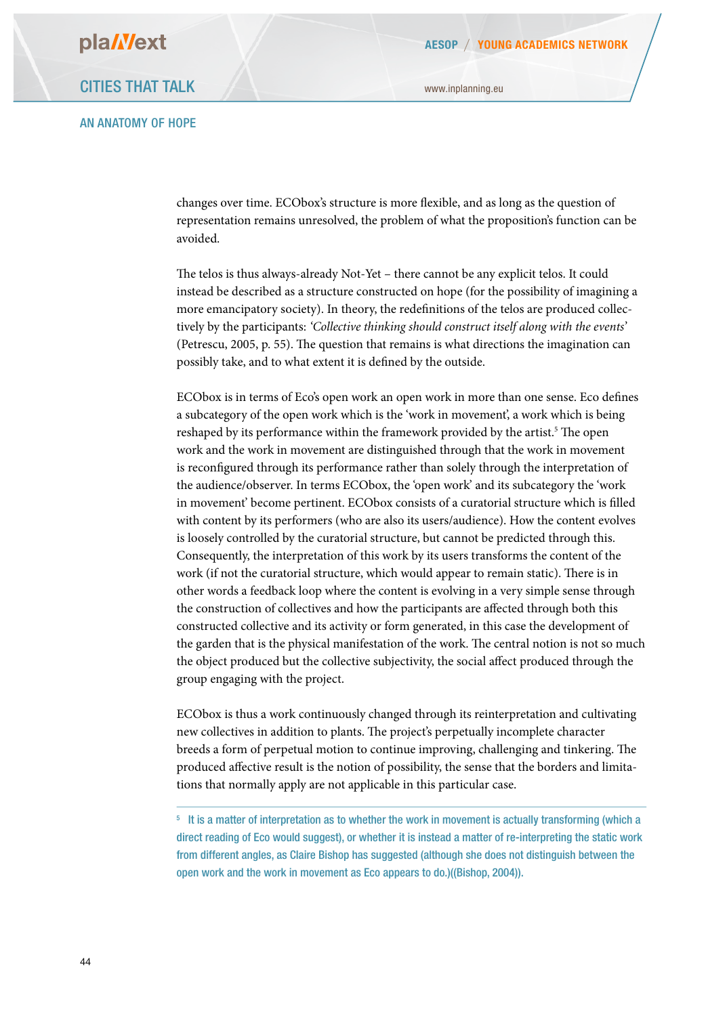#### AN ANATOMY OF HOPE

changes over time. ECObox's structure is more fexible, and as long as the question of representation remains unresolved, the problem of what the proposition's function can be avoided.

The telos is thus always-already Not-Yet - there cannot be any explicit telos. It could instead be described as a structure constructed on hope (for the possibility of imagining a more emancipatory society). In theory, the redefnitions of the telos are produced collectively by the participants: *'Collective thinking should construct itself along with the events'* (Petrescu,  $2005$ , p. 55). The question that remains is what directions the imagination can possibly take, and to what extent it is defned by the outside.

ECObox is in terms of Eco's open work an open work in more than one sense. Eco defnes a subcategory of the open work which is the 'work in movement', a work which is being reshaped by its performance within the framework provided by the artist.<sup>5</sup> The open work and the work in movement are distinguished through that the work in movement is reconfgured through its performance rather than solely through the interpretation of the audience/observer. In terms ECObox, the 'open work' and its subcategory the 'work in movement' become pertinent. ECObox consists of a curatorial structure which is flled with content by its performers (who are also its users/audience). How the content evolves is loosely controlled by the curatorial structure, but cannot be predicted through this. Consequently, the interpretation of this work by its users transforms the content of the work (if not the curatorial structure, which would appear to remain static). There is in other words a feedback loop where the content is evolving in a very simple sense through the construction of collectives and how the participants are afected through both this constructed collective and its activity or form generated, in this case the development of the garden that is the physical manifestation of the work. The central notion is not so much the object produced but the collective subjectivity, the social afect produced through the group engaging with the project.

ECObox is thus a work continuously changed through its reinterpretation and cultivating new collectives in addition to plants. The project's perpetually incomplete character breeds a form of perpetual motion to continue improving, challenging and tinkering. The produced afective result is the notion of possibility, the sense that the borders and limitations that normally apply are not applicable in this particular case.

<sup>5</sup> It is a matter of interpretation as to whether the work in movement is actually transforming (which a direct reading of Eco would suggest), or whether it is instead a matter of re-interpreting the static work from different angles, as Claire Bishop has suggested (although she does not distinguish between the open work and the work in movement as Eco appears to do.)((Bishop, 2004)).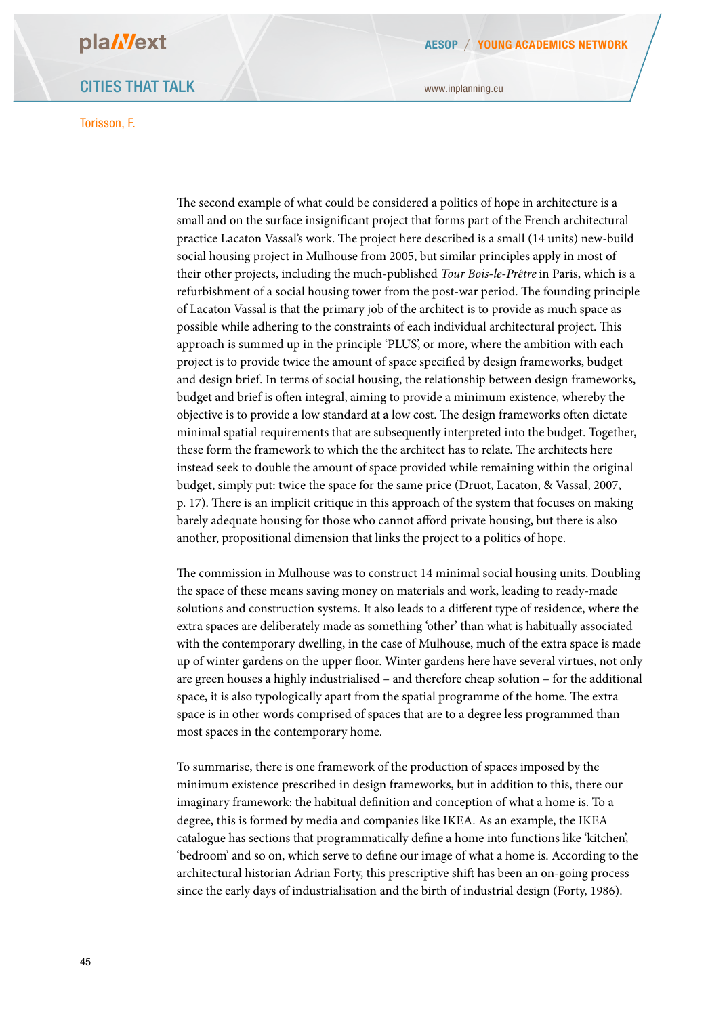### CITIES THAT TALK

#### Torisson, F.

www.inplanning.eu

The second example of what could be considered a politics of hope in architecture is a small and on the surface insignifcant project that forms part of the French architectural practice Lacaton Vassal's work. The project here described is a small (14 units) new-build social housing project in Mulhouse from 2005, but similar principles apply in most of their other projects, including the much-published *Tour Bois-le-Prêtre* in Paris, which is a refurbishment of a social housing tower from the post-war period. The founding principle of Lacaton Vassal is that the primary job of the architect is to provide as much space as possible while adhering to the constraints of each individual architectural project. Tis approach is summed up in the principle 'PLUS', or more, where the ambition with each project is to provide twice the amount of space specifed by design frameworks, budget and design brief. In terms of social housing, the relationship between design frameworks, budget and brief is ofen integral, aiming to provide a minimum existence, whereby the objective is to provide a low standard at a low cost. The design frameworks often dictate minimal spatial requirements that are subsequently interpreted into the budget. Together, these form the framework to which the the architect has to relate. The architects here instead seek to double the amount of space provided while remaining within the original budget, simply put: twice the space for the same price (Druot, Lacaton, & Vassal, 2007, p. 17). There is an implicit critique in this approach of the system that focuses on making barely adequate housing for those who cannot aford private housing, but there is also another, propositional dimension that links the project to a politics of hope.

The commission in Mulhouse was to construct 14 minimal social housing units. Doubling the space of these means saving money on materials and work, leading to ready-made solutions and construction systems. It also leads to a diferent type of residence, where the extra spaces are deliberately made as something 'other' than what is habitually associated with the contemporary dwelling, in the case of Mulhouse, much of the extra space is made up of winter gardens on the upper floor. Winter gardens here have several virtues, not only are green houses a highly industrialised – and therefore cheap solution – for the additional space, it is also typologically apart from the spatial programme of the home. The extra space is in other words comprised of spaces that are to a degree less programmed than most spaces in the contemporary home.

To summarise, there is one framework of the production of spaces imposed by the minimum existence prescribed in design frameworks, but in addition to this, there our imaginary framework: the habitual defnition and conception of what a home is. To a degree, this is formed by media and companies like IKEA. As an example, the IKEA catalogue has sections that programmatically defne a home into functions like 'kitchen', 'bedroom' and so on, which serve to defne our image of what a home is. According to the architectural historian Adrian Forty, this prescriptive shif has been an on-going process since the early days of industrialisation and the birth of industrial design (Forty, 1986).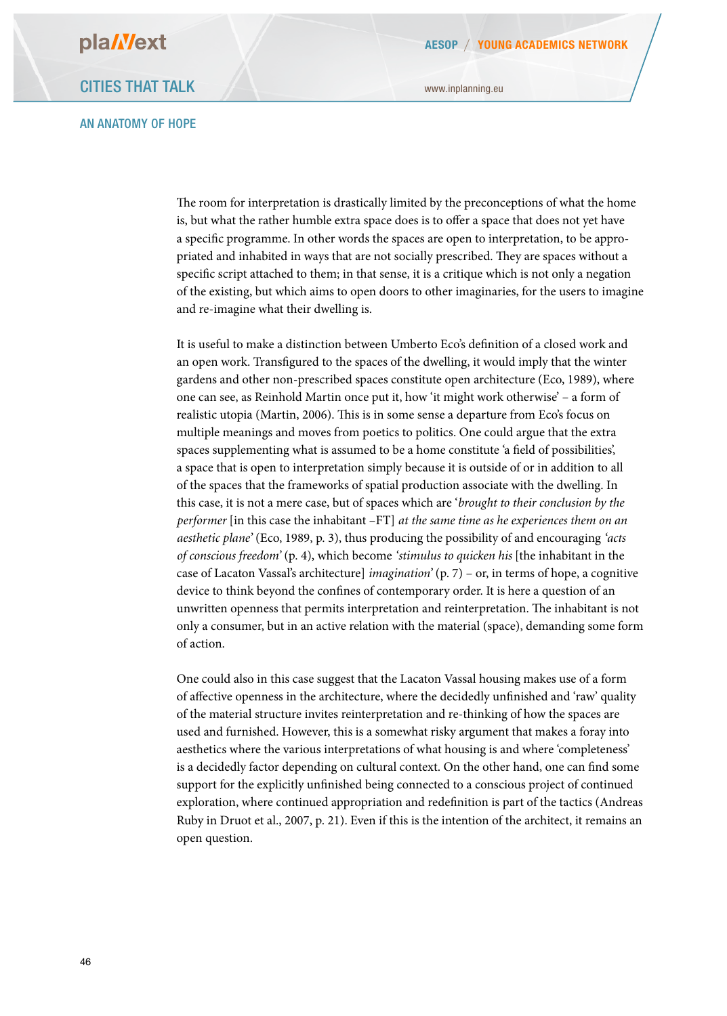#### AN ANATOMY OF HOPE

www.inplanning.eu

The room for interpretation is drastically limited by the preconceptions of what the home is, but what the rather humble extra space does is to ofer a space that does not yet have a specifc programme. In other words the spaces are open to interpretation, to be appropriated and inhabited in ways that are not socially prescribed. They are spaces without a specifc script attached to them; in that sense, it is a critique which is not only a negation of the existing, but which aims to open doors to other imaginaries, for the users to imagine and re-imagine what their dwelling is.

It is useful to make a distinction between Umberto Eco's defnition of a closed work and an open work. Transfgured to the spaces of the dwelling, it would imply that the winter gardens and other non-prescribed spaces constitute open architecture (Eco, 1989), where one can see, as Reinhold Martin once put it, how 'it might work otherwise' – a form of realistic utopia (Martin, 2006). This is in some sense a departure from Eco's focus on multiple meanings and moves from poetics to politics. One could argue that the extra spaces supplementing what is assumed to be a home constitute 'a feld of possibilities', a space that is open to interpretation simply because it is outside of or in addition to all of the spaces that the frameworks of spatial production associate with the dwelling. In this case, it is not a mere case, but of spaces which are '*brought to their conclusion by the performer* [in this case the inhabitant –FT] *at the same time as he experiences them on an aesthetic plane'* (Eco, 1989, p. 3), thus producing the possibility of and encouraging *'acts of conscious freedom'* (p. 4), which become *'stimulus to quicken his* [the inhabitant in the case of Lacaton Vassal's architecture] *imagination'* (p. 7) – or, in terms of hope, a cognitive device to think beyond the confnes of contemporary order. It is here a question of an unwritten openness that permits interpretation and reinterpretation. The inhabitant is not only a consumer, but in an active relation with the material (space), demanding some form of action.

One could also in this case suggest that the Lacaton Vassal housing makes use of a form of afective openness in the architecture, where the decidedly unfnished and 'raw' quality of the material structure invites reinterpretation and re-thinking of how the spaces are used and furnished. However, this is a somewhat risky argument that makes a foray into aesthetics where the various interpretations of what housing is and where 'completeness' is a decidedly factor depending on cultural context. On the other hand, one can fnd some support for the explicitly unfnished being connected to a conscious project of continued exploration, where continued appropriation and redefnition is part of the tactics (Andreas Ruby in Druot et al., 2007, p. 21). Even if this is the intention of the architect, it remains an open question.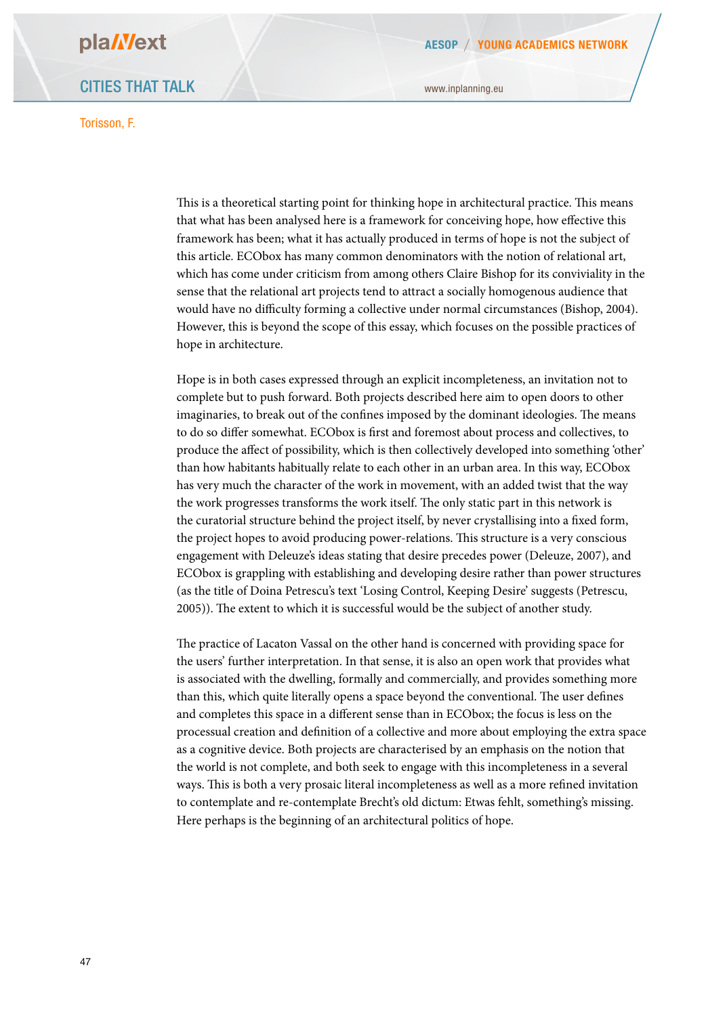### CITIES THAT TALK

#### Torisson, F.

This is a theoretical starting point for thinking hope in architectural practice. This means

www.inplanning.eu

that what has been analysed here is a framework for conceiving hope, how efective this framework has been; what it has actually produced in terms of hope is not the subject of this article. ECObox has many common denominators with the notion of relational art, which has come under criticism from among others Claire Bishop for its conviviality in the sense that the relational art projects tend to attract a socially homogenous audience that would have no difculty forming a collective under normal circumstances (Bishop, 2004). However, this is beyond the scope of this essay, which focuses on the possible practices of hope in architecture.

Hope is in both cases expressed through an explicit incompleteness, an invitation not to complete but to push forward. Both projects described here aim to open doors to other imaginaries, to break out of the confines imposed by the dominant ideologies. The means to do so difer somewhat. ECObox is frst and foremost about process and collectives, to produce the afect of possibility, which is then collectively developed into something 'other' than how habitants habitually relate to each other in an urban area. In this way, ECObox has very much the character of the work in movement, with an added twist that the way the work progresses transforms the work itself. The only static part in this network is the curatorial structure behind the project itself, by never crystallising into a fxed form, the project hopes to avoid producing power-relations. This structure is a very conscious engagement with Deleuze's ideas stating that desire precedes power (Deleuze, 2007), and ECObox is grappling with establishing and developing desire rather than power structures (as the title of Doina Petrescu's text 'Losing Control, Keeping Desire' suggests (Petrescu, 2005)). The extent to which it is successful would be the subject of another study.

The practice of Lacaton Vassal on the other hand is concerned with providing space for the users' further interpretation. In that sense, it is also an open work that provides what is associated with the dwelling, formally and commercially, and provides something more than this, which quite literally opens a space beyond the conventional. The user defines and completes this space in a diferent sense than in ECObox; the focus is less on the processual creation and defnition of a collective and more about employing the extra space as a cognitive device. Both projects are characterised by an emphasis on the notion that the world is not complete, and both seek to engage with this incompleteness in a several ways. This is both a very prosaic literal incompleteness as well as a more refined invitation to contemplate and re-contemplate Brecht's old dictum: Etwas fehlt, something's missing. Here perhaps is the beginning of an architectural politics of hope.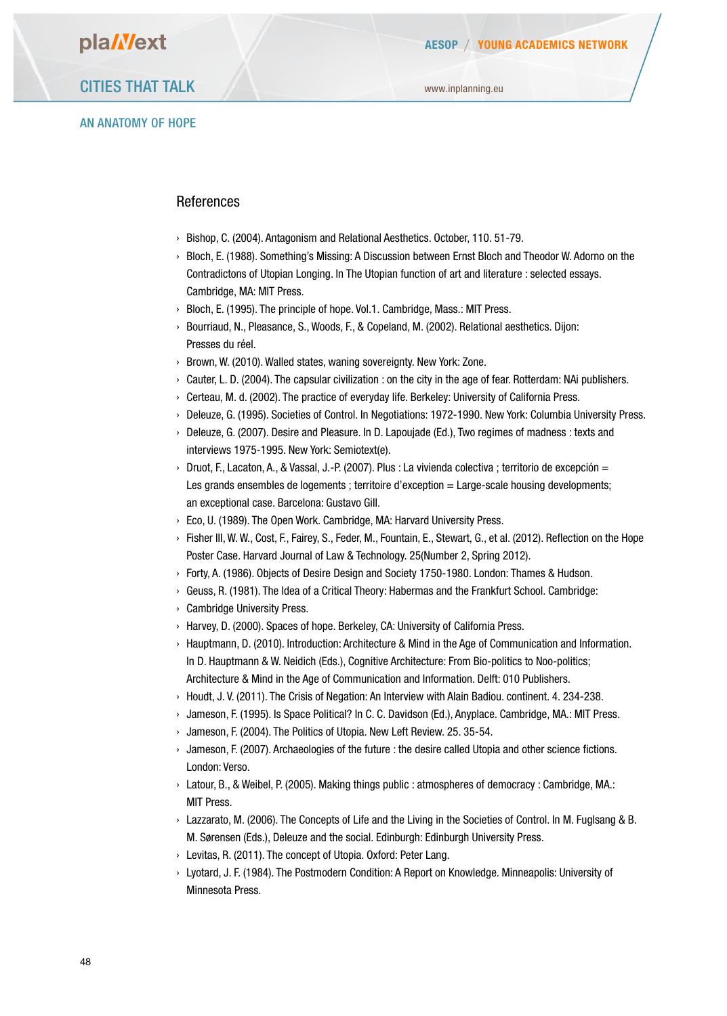### AN ANATOMY OF HOPE

#### **References**

- › Bishop, C. (2004). Antagonism and Relational Aesthetics. October, 110. 51-79.
- › Bloch, E. (1988). Something's Missing: A Discussion between Ernst Bloch and Theodor W. Adorno on the Contradictons of Utopian Longing. In The Utopian function of art and literature : selected essays. Cambridge, MA: MIT Press.
- › Bloch, E. (1995). The principle of hope. Vol.1. Cambridge, Mass.: MIT Press.
- › Bourriaud, N., Pleasance, S., Woods, F., & Copeland, M. (2002). Relational aesthetics. Dijon: Presses du réel.
- › Brown, W. (2010). Walled states, waning sovereignty. New York: Zone.
- › Cauter, L. D. (2004). The capsular civilization : on the city in the age of fear. Rotterdam: NAi publishers.
- › Certeau, M. d. (2002). The practice of everyday life. Berkeley: University of California Press.
- › Deleuze, G. (1995). Societies of Control. In Negotiations: 1972-1990. New York: Columbia University Press.
- › Deleuze, G. (2007). Desire and Pleasure. In D. Lapoujade (Ed.), Two regimes of madness : texts and interviews 1975-1995. New York: Semiotext(e).
- $\rightarrow$  Druot, F., Lacaton, A., & Vassal, J.-P. (2007). Plus : La vivienda colectiva ; territorio de excepción = Les grands ensembles de logements ; territoire d'exception = Large-scale housing developments; an exceptional case. Barcelona: Gustavo Gill.
- › Eco, U. (1989). The Open Work. Cambridge, MA: Harvard University Press.
- › Fisher III, W. W., Cost, F., Fairey, S., Feder, M., Fountain, E., Stewart, G., et al. (2012). Reflection on the Hope Poster Case. Harvard Journal of Law & Technology. 25(Number 2, Spring 2012).
- › Forty, A. (1986). Objects of Desire Design and Society 1750-1980. London: Thames & Hudson.
- › Geuss, R. (1981). The Idea of a Critical Theory: Habermas and the Frankfurt School. Cambridge:
- › Cambridge University Press.
- › Harvey, D. (2000). Spaces of hope. Berkeley, CA: University of California Press.
- › Hauptmann, D. (2010). Introduction: Architecture & Mind in the Age of Communication and Information. In D. Hauptmann & W. Neidich (Eds.), Cognitive Architecture: From Bio-politics to Noo-politics; Architecture & Mind in the Age of Communication and Information. Delft: 010 Publishers.
- › Houdt, J. V. (2011). The Crisis of Negation: An Interview with Alain Badiou. continent. 4. 234-238.
- › Jameson, F. (1995). Is Space Political? In C. C. Davidson (Ed.), Anyplace. Cambridge, MA.: MIT Press.
- › Jameson, F. (2004). The Politics of Utopia. New Left Review. 25. 35-54.
- › Jameson, F. (2007). Archaeologies of the future : the desire called Utopia and other science fictions. London: Verso.
- › Latour, B., & Weibel, P. (2005). Making things public : atmospheres of democracy : Cambridge, MA.: **MIT Press.**
- › Lazzarato, M. (2006). The Concepts of Life and the Living in the Societies of Control. In M. Fuglsang & B. M. Sørensen (Eds.), Deleuze and the social. Edinburgh: Edinburgh University Press.
- › Levitas, R. (2011). The concept of Utopia. Oxford: Peter Lang.
- › Lyotard, J. F. (1984). The Postmodern Condition: A Report on Knowledge. Minneapolis: University of Minnesota Press.